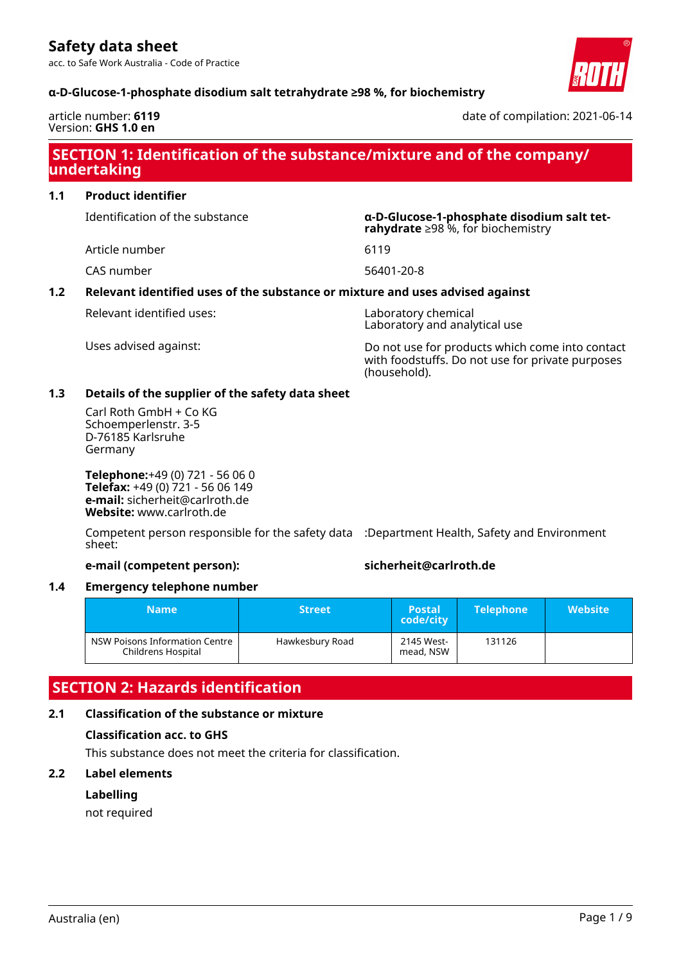acc. to Safe Work Australia - Code of Practice



# **α-D-Glucose-1-phosphate disodium salt tetrahydrate ≥98 %, for biochemistry**

#### article number: **6119** Version: **GHS 1.0 en**

date of compilation: 2021-06-14

# **SECTION 1: Identification of the substance/mixture and of the company/ undertaking**

**1.1 Product identifier**

Identification of the substance **α-D-Glucose-1-phosphate disodium salt tet-**

Article number 6119

CAS number 56401-20-8

# **1.2 Relevant identified uses of the substance or mixture and uses advised against**

Relevant identified uses: Laboratory chemical

Laboratory and analytical use

**rahydrate** ≥98 %, for biochemistry

Uses advised against: Do not use for products which come into contact with foodstuffs. Do not use for private purposes (household).

# **1.3 Details of the supplier of the safety data sheet**

Carl Roth GmbH + Co KG Schoemperlenstr. 3-5 D-76185 Karlsruhe Germany

**Telephone:**+49 (0) 721 - 56 06 0 **Telefax:** +49 (0) 721 - 56 06 149 **e-mail:** sicherheit@carlroth.de **Website:** www.carlroth.de

Competent person responsible for the safety data :Department Health, Safety and Environment sheet:

#### **e-mail (competent person): sicherheit@carlroth.de**

# **1.4 Emergency telephone number**

| <b>Name</b>                                          | <b>Street</b>   | <b>Postal</b><br>code/city | <b>Telephone</b> | <b>Website</b> |
|------------------------------------------------------|-----------------|----------------------------|------------------|----------------|
| NSW Poisons Information Centre<br>Childrens Hospital | Hawkesbury Road | 2145 West-<br>mead, NSW    | 131126           |                |

# **SECTION 2: Hazards identification**

# **2.1 Classification of the substance or mixture**

# **Classification acc. to GHS**

This substance does not meet the criteria for classification.

# **2.2 Label elements**

# **Labelling**

not required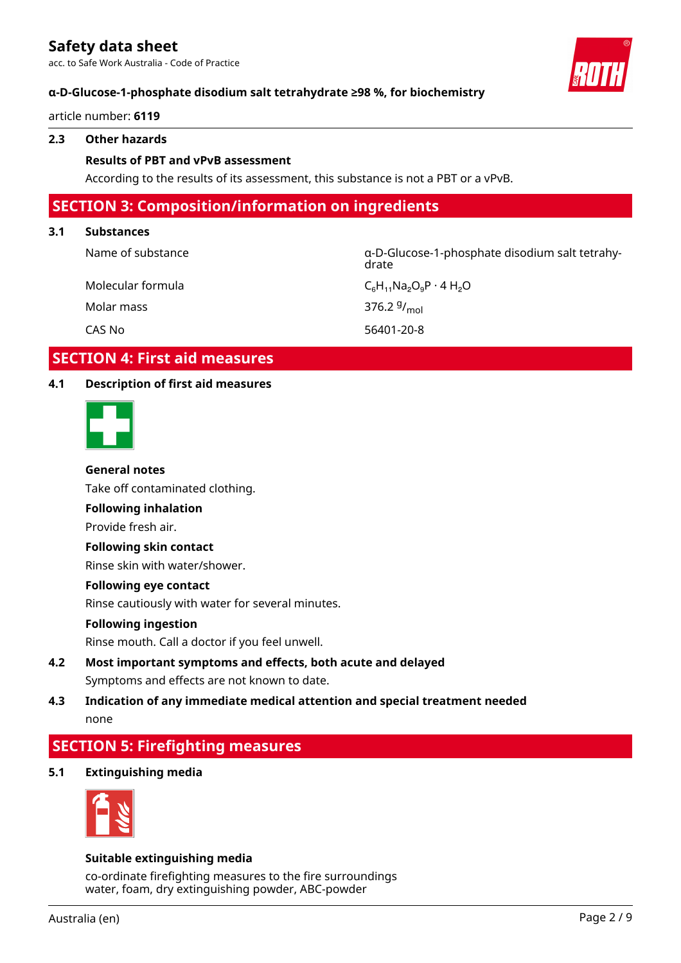acc. to Safe Work Australia - Code of Practice



article number: **6119**

### **2.3 Other hazards**

#### **Results of PBT and vPvB assessment**

According to the results of its assessment, this substance is not a PBT or a vPvB.

# **SECTION 3: Composition/information on ingredients**

#### **3.1 Substances**

Name of substance α-D-Glucose-1-phosphate disodium salt tetrahydrate

Molecular formula  $C_6H_{11}Na_2O_9P \cdot 4H_2O$ 

Molar mass

376.2 $9/_{mol}$ 

CAS No 56401-20-8

# **SECTION 4: First aid measures**

# **4.1 Description of first aid measures**



#### **General notes**

Take off contaminated clothing.

# **Following inhalation**

Provide fresh air.

# **Following skin contact**

Rinse skin with water/shower.

# **Following eye contact**

Rinse cautiously with water for several minutes.

#### **Following ingestion**

Rinse mouth. Call a doctor if you feel unwell.

- **4.2 Most important symptoms and effects, both acute and delayed** Symptoms and effects are not known to date.
- **4.3 Indication of any immediate medical attention and special treatment needed** none

# **SECTION 5: Firefighting measures**

**5.1 Extinguishing media**



# **Suitable extinguishing media**

co-ordinate firefighting measures to the fire surroundings water, foam, dry extinguishing powder, ABC-powder

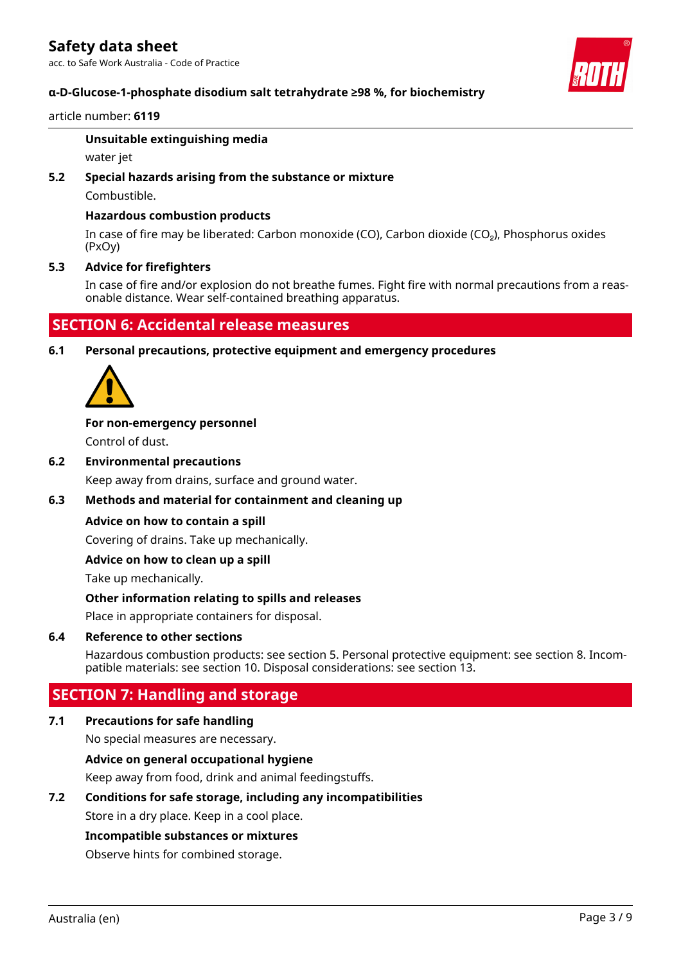acc. to Safe Work Australia - Code of Practice

# **α-D-Glucose-1-phosphate disodium salt tetrahydrate ≥98 %, for biochemistry**

#### article number: **6119**

#### **Unsuitable extinguishing media**

water jet

# **5.2 Special hazards arising from the substance or mixture**

Combustible.

# **Hazardous combustion products**

In case of fire may be liberated: Carbon monoxide (CO), Carbon dioxide (CO₂), Phosphorus oxides (PxOy)

# **5.3 Advice for firefighters**

In case of fire and/or explosion do not breathe fumes. Fight fire with normal precautions from a reasonable distance. Wear self-contained breathing apparatus.

# **SECTION 6: Accidental release measures**

**6.1 Personal precautions, protective equipment and emergency procedures**



# **For non-emergency personnel**

Control of dust.

**6.2 Environmental precautions**

Keep away from drains, surface and ground water.

# **6.3 Methods and material for containment and cleaning up**

# **Advice on how to contain a spill**

Covering of drains. Take up mechanically.

# **Advice on how to clean up a spill**

Take up mechanically.

# **Other information relating to spills and releases**

Place in appropriate containers for disposal.

# **6.4 Reference to other sections**

Hazardous combustion products: see section 5. Personal protective equipment: see section 8. Incompatible materials: see section 10. Disposal considerations: see section 13.

# **SECTION 7: Handling and storage**

# **7.1 Precautions for safe handling**

No special measures are necessary.

# **Advice on general occupational hygiene**

Keep away from food, drink and animal feedingstuffs.

# **7.2 Conditions for safe storage, including any incompatibilities**

Store in a dry place. Keep in a cool place.

# **Incompatible substances or mixtures**

Observe hints for combined storage.

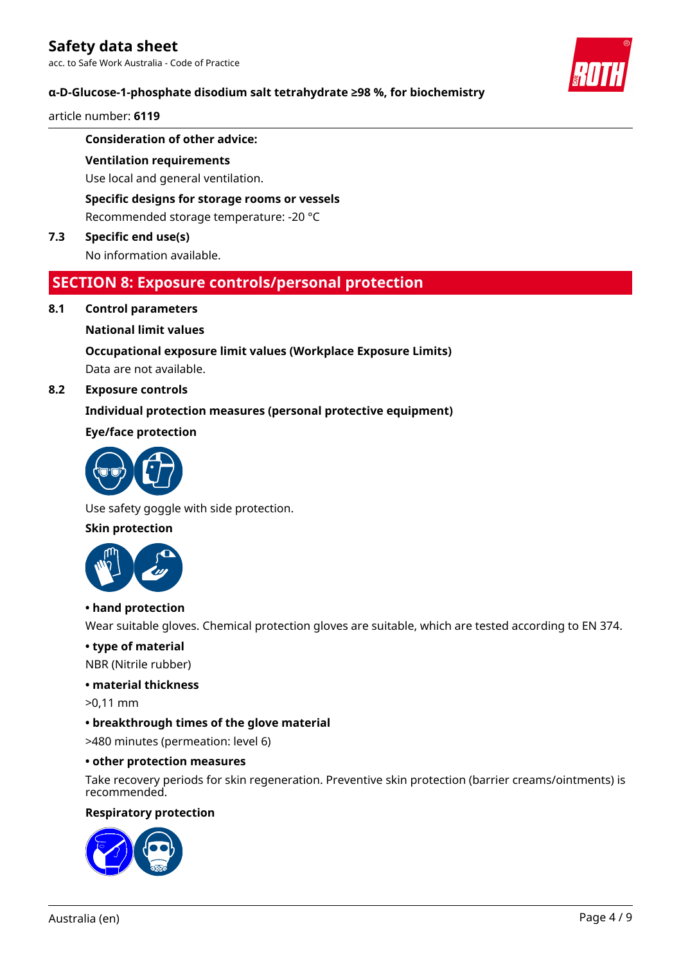acc. to Safe Work Australia - Code of Practice

# **α-D-Glucose-1-phosphate disodium salt tetrahydrate ≥98 %, for biochemistry**

article number: **6119**

# **Consideration of other advice:**

#### **Ventilation requirements**

Use local and general ventilation.

**Specific designs for storage rooms or vessels**

Recommended storage temperature: -20 °C

# **7.3 Specific end use(s)**

No information available.

# **SECTION 8: Exposure controls/personal protection**

# **8.1 Control parameters**

#### **National limit values**

# **Occupational exposure limit values (Workplace Exposure Limits)**

Data are not available.

# **8.2 Exposure controls**

# **Individual protection measures (personal protective equipment)**

# **Eye/face protection**



Use safety goggle with side protection.

# **Skin protection**



# **• hand protection**

Wear suitable gloves. Chemical protection gloves are suitable, which are tested according to EN 374.

# **• type of material**

NBR (Nitrile rubber)

### **• material thickness**

>0,11 mm

# **• breakthrough times of the glove material**

>480 minutes (permeation: level 6)

#### **• other protection measures**

Take recovery periods for skin regeneration. Preventive skin protection (barrier creams/ointments) is recommended.

#### **Respiratory protection**



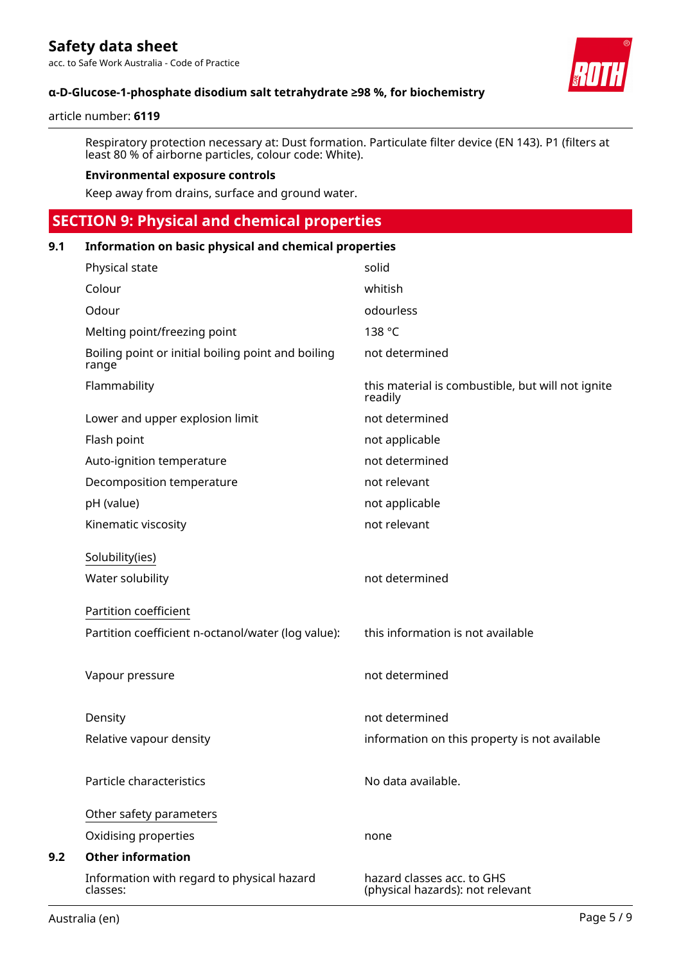acc. to Safe Work Australia - Code of Practice



# **α-D-Glucose-1-phosphate disodium salt tetrahydrate ≥98 %, for biochemistry**

#### article number: **6119**

Respiratory protection necessary at: Dust formation. Particulate filter device (EN 143). P1 (filters at least 80 % of airborne particles, colour code: White).

#### **Environmental exposure controls**

Keep away from drains, surface and ground water.

# **SECTION 9: Physical and chemical properties**

| 9.1<br>Information on basic physical and chemical properties |                                                             |                                                                |  |
|--------------------------------------------------------------|-------------------------------------------------------------|----------------------------------------------------------------|--|
|                                                              | Physical state                                              | solid                                                          |  |
|                                                              | Colour                                                      | whitish                                                        |  |
|                                                              | Odour                                                       | odourless                                                      |  |
|                                                              | Melting point/freezing point                                | 138 °C                                                         |  |
|                                                              | Boiling point or initial boiling point and boiling<br>range | not determined                                                 |  |
|                                                              | Flammability                                                | this material is combustible, but will not ignite<br>readily   |  |
|                                                              | Lower and upper explosion limit                             | not determined                                                 |  |
|                                                              | Flash point                                                 | not applicable                                                 |  |
|                                                              | Auto-ignition temperature                                   | not determined                                                 |  |
|                                                              | Decomposition temperature                                   | not relevant                                                   |  |
|                                                              | pH (value)                                                  | not applicable                                                 |  |
|                                                              | Kinematic viscosity                                         | not relevant                                                   |  |
|                                                              | Solubility(ies)                                             |                                                                |  |
|                                                              | Water solubility                                            | not determined                                                 |  |
|                                                              | Partition coefficient                                       |                                                                |  |
|                                                              | Partition coefficient n-octanol/water (log value):          | this information is not available                              |  |
|                                                              | Vapour pressure                                             | not determined                                                 |  |
|                                                              | Density                                                     | not determined                                                 |  |
|                                                              | Relative vapour density                                     | information on this property is not available                  |  |
|                                                              | Particle characteristics                                    | No data available.                                             |  |
|                                                              | Other safety parameters                                     |                                                                |  |
|                                                              | Oxidising properties                                        | none                                                           |  |
| 9.2                                                          | <b>Other information</b>                                    |                                                                |  |
|                                                              | Information with regard to physical hazard<br>classes:      | hazard classes acc. to GHS<br>(physical hazards): not relevant |  |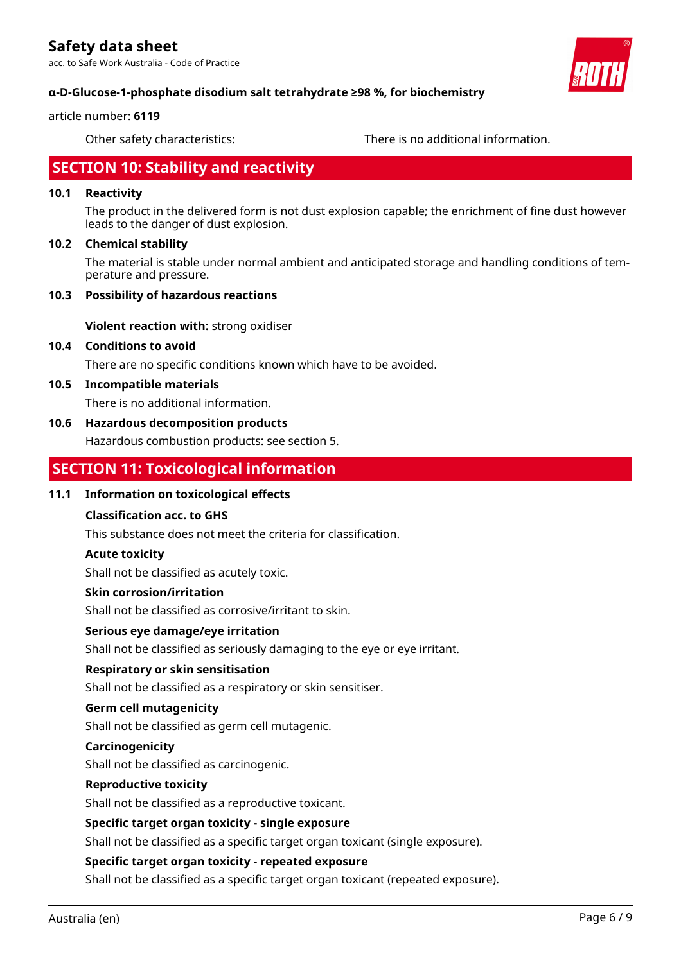acc. to Safe Work Australia - Code of Practice



# **α-D-Glucose-1-phosphate disodium salt tetrahydrate ≥98 %, for biochemistry**

#### article number: **6119**

Other safety characteristics: There is no additional information.

# **SECTION 10: Stability and reactivity**

# **10.1 Reactivity**

The product in the delivered form is not dust explosion capable; the enrichment of fine dust however leads to the danger of dust explosion.

# **10.2 Chemical stability**

The material is stable under normal ambient and anticipated storage and handling conditions of temperature and pressure.

#### **10.3 Possibility of hazardous reactions**

**Violent reaction with:** strong oxidiser

# **10.4 Conditions to avoid**

There are no specific conditions known which have to be avoided.

#### **10.5 Incompatible materials**

There is no additional information.

# **10.6 Hazardous decomposition products**

Hazardous combustion products: see section 5.

# **SECTION 11: Toxicological information**

# **11.1 Information on toxicological effects**

# **Classification acc. to GHS**

This substance does not meet the criteria for classification.

# **Acute toxicity**

Shall not be classified as acutely toxic.

#### **Skin corrosion/irritation**

Shall not be classified as corrosive/irritant to skin.

# **Serious eye damage/eye irritation**

Shall not be classified as seriously damaging to the eye or eye irritant.

# **Respiratory or skin sensitisation**

Shall not be classified as a respiratory or skin sensitiser.

# **Germ cell mutagenicity**

Shall not be classified as germ cell mutagenic.

#### **Carcinogenicity**

Shall not be classified as carcinogenic.

#### **Reproductive toxicity**

Shall not be classified as a reproductive toxicant.

# **Specific target organ toxicity - single exposure**

Shall not be classified as a specific target organ toxicant (single exposure).

# **Specific target organ toxicity - repeated exposure**

Shall not be classified as a specific target organ toxicant (repeated exposure).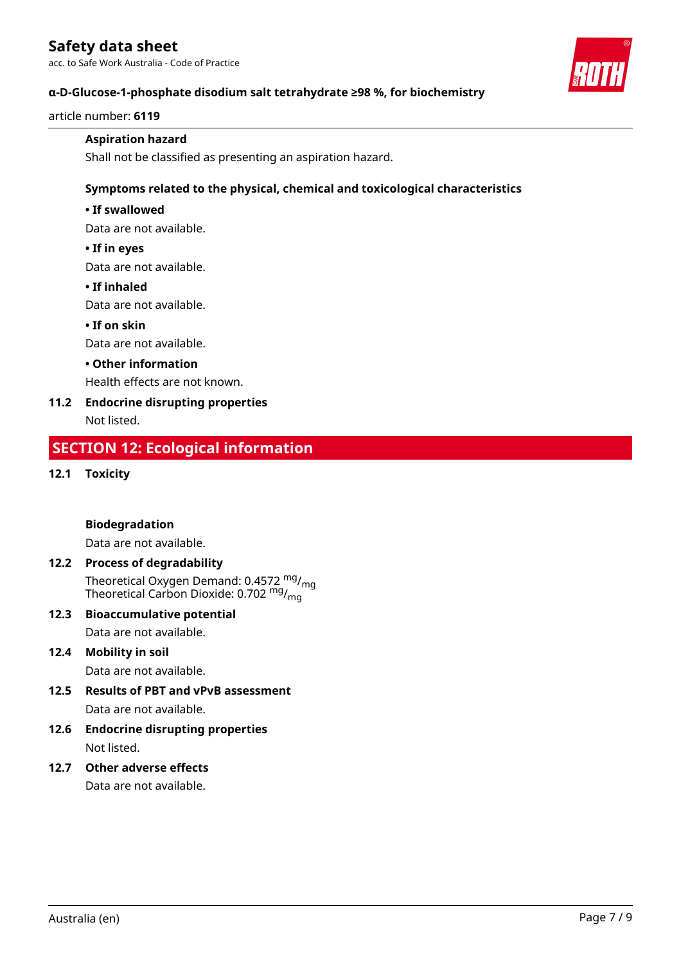acc. to Safe Work Australia - Code of Practice



# **α-D-Glucose-1-phosphate disodium salt tetrahydrate ≥98 %, for biochemistry**

article number: **6119**

# **Aspiration hazard**

Shall not be classified as presenting an aspiration hazard.

# **Symptoms related to the physical, chemical and toxicological characteristics**

# **• If swallowed**

Data are not available.

# **• If in eyes**

Data are not available.

#### **• If inhaled**

Data are not available.

# **• If on skin**

Data are not available.

# **• Other information**

Health effects are not known.

# **11.2 Endocrine disrupting properties**

Not listed.

# **SECTION 12: Ecological information**

# **12.1 Toxicity**

# **Biodegradation**

Data are not available.

# **12.2 Process of degradability**

Theoretical Oxygen Demand: 0.4572 <sup>mg</sup>/<sub>mg</sub> Theoretical Carbon Dioxide: 0.702 <sup>mg</sup>/<sub>mg</sub>

# **12.3 Bioaccumulative potential**

Data are not available.

# **12.4 Mobility in soil**

Data are not available.

# **12.5 Results of PBT and vPvB assessment**

Data are not available.

**12.6 Endocrine disrupting properties** Not listed.

# **12.7 Other adverse effects**

Data are not available.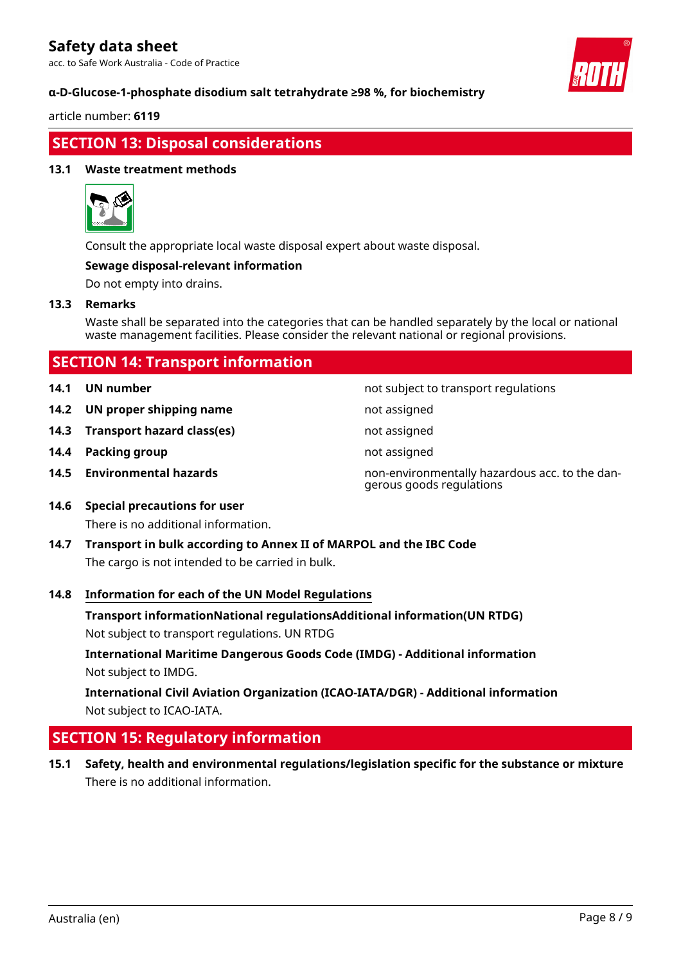acc. to Safe Work Australia - Code of Practice



article number: **6119**

# **SECTION 13: Disposal considerations**

# **13.1 Waste treatment methods**



Consult the appropriate local waste disposal expert about waste disposal.

#### **Sewage disposal-relevant information**

Do not empty into drains.

#### **13.3 Remarks**

Waste shall be separated into the categories that can be handled separately by the local or national waste management facilities. Please consider the relevant national or regional provisions.

| <b>SECTION 14: Transport information</b> |                                   |                                                                            |  |
|------------------------------------------|-----------------------------------|----------------------------------------------------------------------------|--|
| 14.1                                     | UN number                         | not subject to transport regulations                                       |  |
|                                          | 14.2 UN proper shipping name      | not assigned                                                               |  |
|                                          | 14.3 Transport hazard class(es)   | not assigned                                                               |  |
| 14.4                                     | Packing group                     | not assigned                                                               |  |
|                                          | 14.5 Environmental hazards        | non-environmentally hazardous acc. to the dan-<br>gerous goods regulations |  |
|                                          | 14.6 Special precautions for user |                                                                            |  |

- There is no additional information.
- **14.7 Transport in bulk according to Annex II of MARPOL and the IBC Code** The cargo is not intended to be carried in bulk.

# **14.8 Information for each of the UN Model Regulations**

**Transport informationNational regulationsAdditional information(UN RTDG)**

Not subject to transport regulations. UN RTDG

**International Maritime Dangerous Goods Code (IMDG) - Additional information** Not subject to IMDG.

**International Civil Aviation Organization (ICAO-IATA/DGR) - Additional information** Not subject to ICAO-IATA.

# **SECTION 15: Regulatory information**

**15.1 Safety, health and environmental regulations/legislation specific for the substance or mixture** There is no additional information.